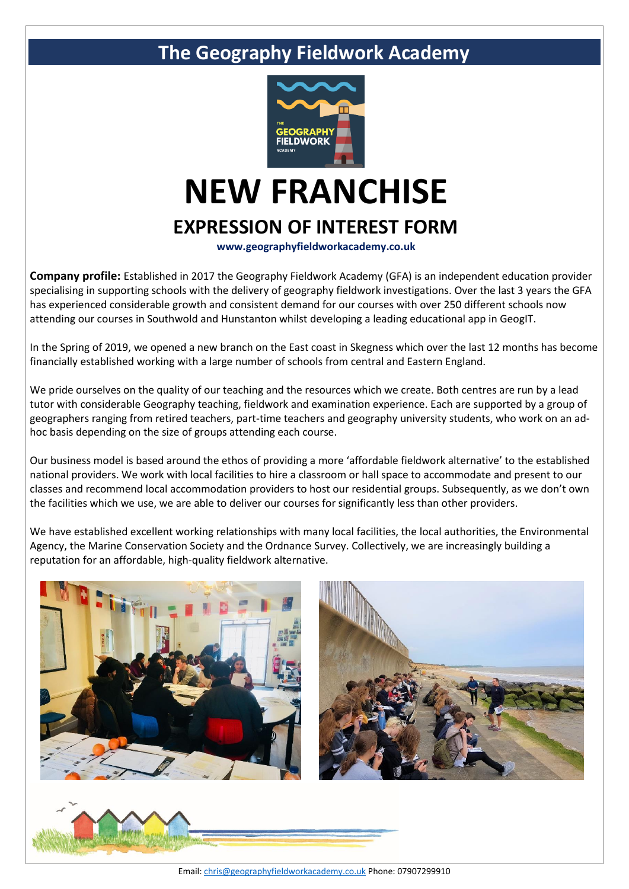

# **NEW FRANCHISE EXPRESSION OF INTEREST FORM**

**www.geographyfieldworkacademy.co.uk**

**Company profile:** Established in 2017 the Geography Fieldwork Academy (GFA) is an independent education provider specialising in supporting schools with the delivery of geography fieldwork investigations. Over the last 3 years the GFA has experienced considerable growth and consistent demand for our courses with over 250 different schools now attending our courses in Southwold and Hunstanton whilst developing a leading educational app in GeogIT.

In the Spring of 2019, we opened a new branch on the East coast in Skegness which over the last 12 months has become financially established working with a large number of schools from central and Eastern England.

We pride ourselves on the quality of our teaching and the resources which we create. Both centres are run by a lead tutor with considerable Geography teaching, fieldwork and examination experience. Each are supported by a group of geographers ranging from retired teachers, part-time teachers and geography university students, who work on an adhoc basis depending on the size of groups attending each course.

Our business model is based around the ethos of providing a more 'affordable fieldwork alternative' to the established national providers. We work with local facilities to hire a classroom or hall space to accommodate and present to our classes and recommend local accommodation providers to host our residential groups. Subsequently, as we don't own the facilities which we use, we are able to deliver our courses for significantly less than other providers.

We have established excellent working relationships with many local facilities, the local authorities, the Environmental Agency, the Marine Conservation Society and the Ordnance Survey. Collectively, we are increasingly building a reputation for an affordable, high-quality fieldwork alternative.







Email[: chris@geographyfieldworkacademy.co.uk](mailto:chris@geographyfieldworkacademy.co.uk) Phone: 07907299910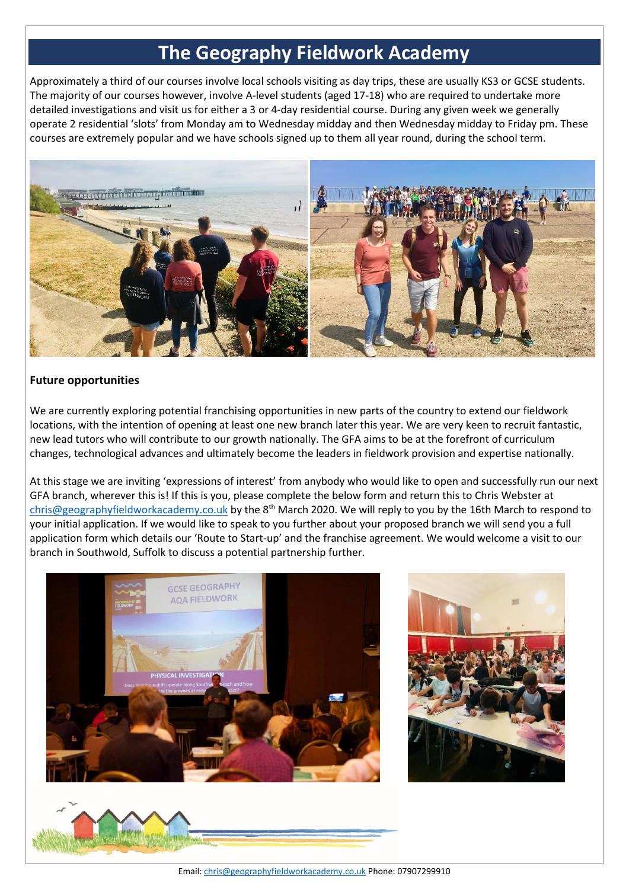Approximately a third of our courses involve local schools visiting as day trips, these are usually KS3 or GCSE students. The majority of our courses however, involve A-level students (aged 17-18) who are required to undertake more detailed investigations and visit us for either a 3 or 4-day residential course. During any given week we generally operate 2 residential 'slots' from Monday am to Wednesday midday and then Wednesday midday to Friday pm. These courses are extremely popular and we have schools signed up to them all year round, during the school term.



### **Future opportunities**

We are currently exploring potential franchising opportunities in new parts of the country to extend our fieldwork locations, with the intention of opening at least one new branch later this year. We are very keen to recruit fantastic, new lead tutors who will contribute to our growth nationally. The GFA aims to be at the forefront of curriculum changes, technological advances and ultimately become the leaders in fieldwork provision and expertise nationally.

At this stage we are inviting 'expressions of interest' from anybody who would like to open and successfully run our next GFA branch, wherever this is! If this is you, please complete the below form and return this to Chris Webster at [chris@geographyfieldworkacademy.co.uk](mailto:chris@geographyfieldworkacademy.co.uk) by the 8<sup>th</sup> March 2020. We will reply to you by the 16th March to respond to your initial application. If we would like to speak to you further about your proposed branch we will send you a full application form which details our 'Route to Start-up' and the franchise agreement. We would welcome a visit to our branch in Southwold, Suffolk to discuss a potential partnership further.







Email[: chris@geographyfieldworkacademy.co.uk](mailto:chris@geographyfieldworkacademy.co.uk) Phone: 07907299910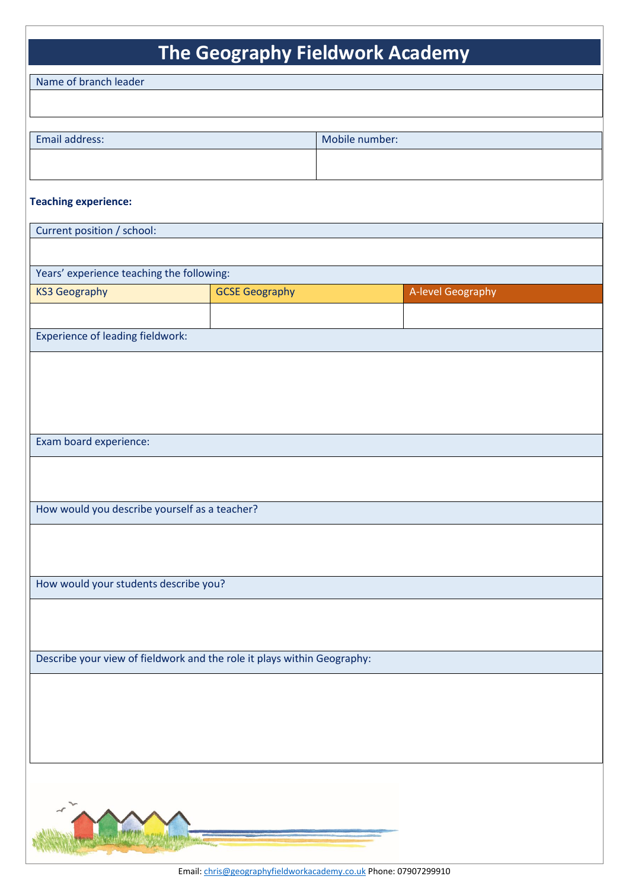| Name of branch leader                                                   |                       |                |                   |
|-------------------------------------------------------------------------|-----------------------|----------------|-------------------|
|                                                                         |                       |                |                   |
|                                                                         |                       |                |                   |
| Email address:                                                          |                       | Mobile number: |                   |
|                                                                         |                       |                |                   |
| <b>Teaching experience:</b>                                             |                       |                |                   |
| Current position / school:                                              |                       |                |                   |
|                                                                         |                       |                |                   |
| Years' experience teaching the following:                               |                       |                |                   |
| <b>KS3 Geography</b>                                                    | <b>GCSE Geography</b> |                | A-level Geography |
|                                                                         |                       |                |                   |
| <b>Experience of leading fieldwork:</b>                                 |                       |                |                   |
|                                                                         |                       |                |                   |
|                                                                         |                       |                |                   |
|                                                                         |                       |                |                   |
|                                                                         |                       |                |                   |
| Exam board experience:                                                  |                       |                |                   |
|                                                                         |                       |                |                   |
| How would you describe yourself as a teacher?                           |                       |                |                   |
|                                                                         |                       |                |                   |
|                                                                         |                       |                |                   |
| How would your students describe you?                                   |                       |                |                   |
|                                                                         |                       |                |                   |
|                                                                         |                       |                |                   |
|                                                                         |                       |                |                   |
| Describe your view of fieldwork and the role it plays within Geography: |                       |                |                   |
|                                                                         |                       |                |                   |
|                                                                         |                       |                |                   |
|                                                                         |                       |                |                   |
|                                                                         |                       |                |                   |
|                                                                         |                       |                |                   |
|                                                                         |                       |                |                   |
|                                                                         |                       |                |                   |
|                                                                         |                       |                |                   |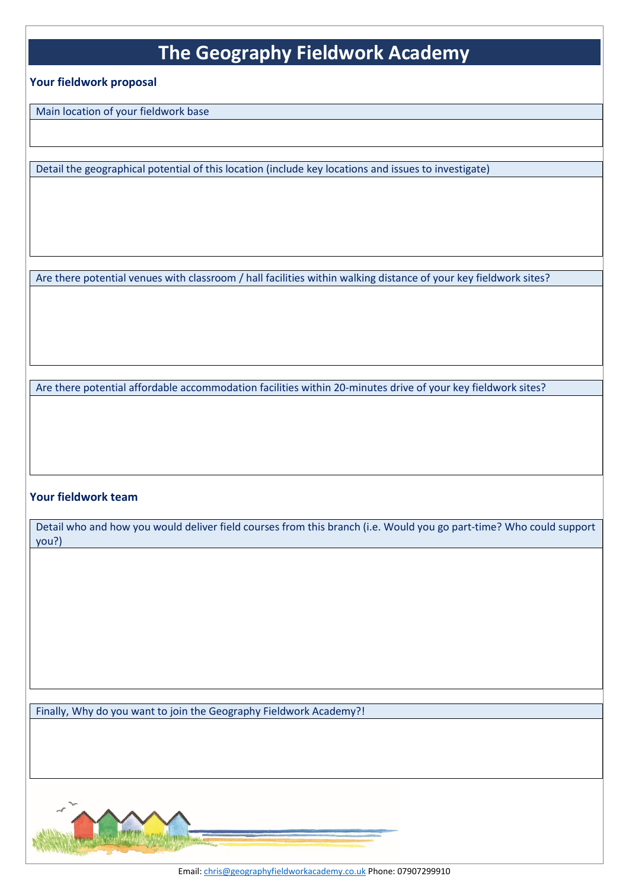#### **Your fieldwork proposal**

Main location of your fieldwork base

Detail the geographical potential of this location (include key locations and issues to investigate)

Are there potential venues with classroom / hall facilities within walking distance of your key fieldwork sites?

Are there potential affordable accommodation facilities within 20-minutes drive of your key fieldwork sites?

### **Your fieldwork team**

Detail who and how you would deliver field courses from this branch (i.e. Would you go part-time? Who could support you?)

Finally, Why do you want to join the Geography Fieldwork Academy?!